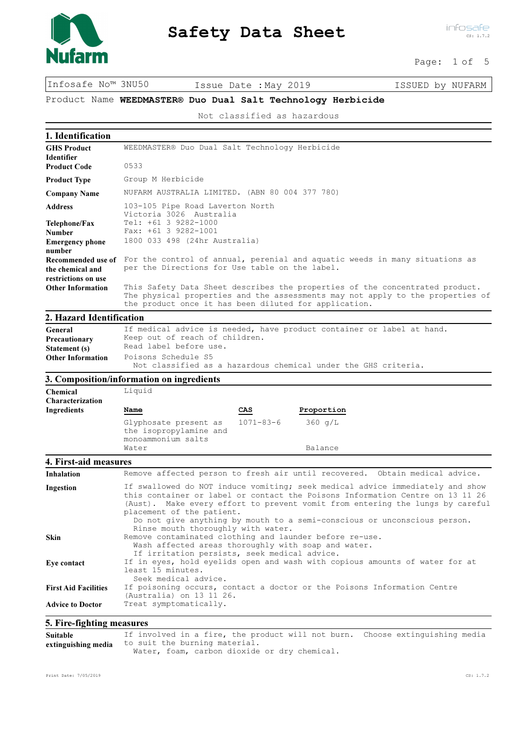

Page: 1 of 5

Infosafe No™ 3NU50 Issue Date :May 2019 ISSUED by NUFARM

Product Name WEEDMASTER® Duo Dual Salt Technology Herbicide

Not classified as hazardous

| 1. Identification                |                                                                                                                                                                                                                                                                                                                                                                                                |  |
|----------------------------------|------------------------------------------------------------------------------------------------------------------------------------------------------------------------------------------------------------------------------------------------------------------------------------------------------------------------------------------------------------------------------------------------|--|
| <b>GHS Product</b>               | WEEDMASTER® Duo Dual Salt Technology Herbicide                                                                                                                                                                                                                                                                                                                                                 |  |
| <b>Identifier</b>                |                                                                                                                                                                                                                                                                                                                                                                                                |  |
| <b>Product Code</b>              | 0533                                                                                                                                                                                                                                                                                                                                                                                           |  |
| <b>Product Type</b>              | Group M Herbicide                                                                                                                                                                                                                                                                                                                                                                              |  |
| <b>Company Name</b>              | NUFARM AUSTRALIA LIMITED. (ABN 80 004 377 780)                                                                                                                                                                                                                                                                                                                                                 |  |
| <b>Address</b>                   | 103-105 Pipe Road Laverton North<br>Victoria 3026 Australia                                                                                                                                                                                                                                                                                                                                    |  |
| Telephone/Fax<br><b>Number</b>   | Tel: +61 3 9282-1000<br>Fax: $+61$ 3 9282-1001                                                                                                                                                                                                                                                                                                                                                 |  |
| <b>Emergency phone</b><br>number | 1800 033 498 (24hr Australia)                                                                                                                                                                                                                                                                                                                                                                  |  |
| Recommended use of               | For the control of annual, perenial and aquatic weeds in many situations as                                                                                                                                                                                                                                                                                                                    |  |
| the chemical and                 | per the Directions for Use table on the label.                                                                                                                                                                                                                                                                                                                                                 |  |
| restrictions on use              |                                                                                                                                                                                                                                                                                                                                                                                                |  |
| <b>Other Information</b>         | This Safety Data Sheet describes the properties of the concentrated product.<br>The physical properties and the assessments may not apply to the properties of<br>the product once it has been diluted for application.                                                                                                                                                                        |  |
| 2. Hazard Identification         |                                                                                                                                                                                                                                                                                                                                                                                                |  |
| General                          | If medical advice is needed, have product container or label at hand.                                                                                                                                                                                                                                                                                                                          |  |
| Precautionary                    | Keep out of reach of children.                                                                                                                                                                                                                                                                                                                                                                 |  |
| Statement (s)                    | Read label before use.                                                                                                                                                                                                                                                                                                                                                                         |  |
| <b>Other Information</b>         | Poisons Schedule S5<br>Not classified as a hazardous chemical under the GHS criteria.                                                                                                                                                                                                                                                                                                          |  |
|                                  | 3. Composition/information on ingredients                                                                                                                                                                                                                                                                                                                                                      |  |
| Chemical                         | Liquid                                                                                                                                                                                                                                                                                                                                                                                         |  |
| <b>Characterization</b>          |                                                                                                                                                                                                                                                                                                                                                                                                |  |
| Ingredients                      | CAS<br>Proportion<br>Name                                                                                                                                                                                                                                                                                                                                                                      |  |
|                                  | $1071 - 83 - 6$<br>360 q/L<br>Glyphosate present as<br>the isopropylamine and                                                                                                                                                                                                                                                                                                                  |  |
|                                  | monoammonium salts<br>Water<br>Balance                                                                                                                                                                                                                                                                                                                                                         |  |
|                                  |                                                                                                                                                                                                                                                                                                                                                                                                |  |
| 4. First-aid measures            |                                                                                                                                                                                                                                                                                                                                                                                                |  |
| Inhalation                       | Remove affected person to fresh air until recovered. Obtain medical advice.                                                                                                                                                                                                                                                                                                                    |  |
| Ingestion                        | If swallowed do NOT induce vomiting; seek medical advice immediately and show<br>this container or label or contact the Poisons Information Centre on 13 11 26<br>(Aust). Make every effort to prevent vomit from entering the lungs by careful<br>placement of the patient.<br>Do not give anything by mouth to a semi-conscious or unconscious person.<br>Rinse mouth thoroughly with water. |  |
| Skin                             | Remove contaminated clothing and launder before re-use.<br>Wash affected areas thoroughly with soap and water.<br>If irritation persists, seek medical advice.                                                                                                                                                                                                                                 |  |
| Eye contact                      | If in eyes, hold eyelids open and wash with copious amounts of water for at<br>least 15 minutes.<br>Seek medical advice.                                                                                                                                                                                                                                                                       |  |
| <b>First Aid Facilities</b>      | If poisoning occurs, contact a doctor or the Poisons Information Centre<br>(Australia) on 13 11 26.                                                                                                                                                                                                                                                                                            |  |
| <b>Advice to Doctor</b>          | Treat symptomatically.                                                                                                                                                                                                                                                                                                                                                                         |  |
| 5. Fire-fighting measures        |                                                                                                                                                                                                                                                                                                                                                                                                |  |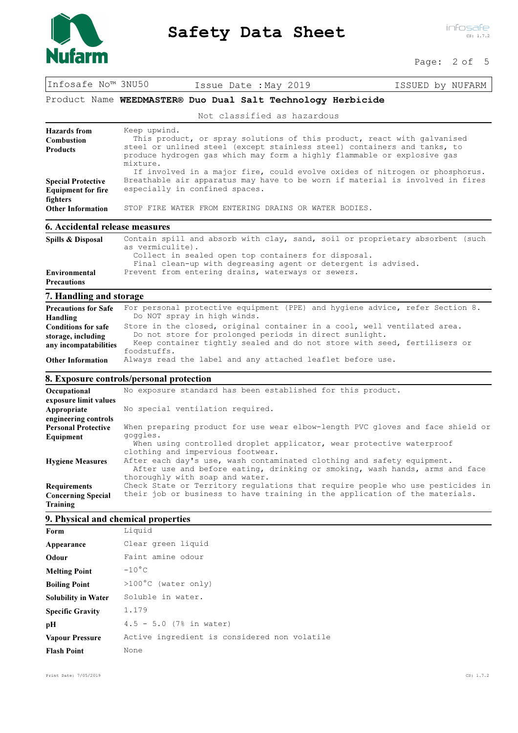

Page: 2 of 5

| Infosafe No™ 3NU50                                          |  | Issue Date : May 2019 |  | ISSUED by NUFARM |  |
|-------------------------------------------------------------|--|-----------------------|--|------------------|--|
| Product Name WEEDMASTER® Duo Dual Salt Technology Herbicide |  |                       |  |                  |  |

Not classified as hazardous

| Hazards from                   | Keep upwind.                                                                                                                                                                                                                                   |
|--------------------------------|------------------------------------------------------------------------------------------------------------------------------------------------------------------------------------------------------------------------------------------------|
| <b>Combustion</b>              | This product, or spray solutions of this product, react with galvanised                                                                                                                                                                        |
| <b>Products</b>                | steel or unlined steel (except stainless steel) containers and tanks, to<br>produce hydrogen gas which may form a highly flammable or explosive gas<br>mixture.<br>If involved in a major fire, could evolve oxides of nitrogen or phosphorus. |
| <b>Special Protective</b>      | Breathable air apparatus may have to be worn if material is involved in fires                                                                                                                                                                  |
| <b>Equipment for fire</b>      | especially in confined spaces.                                                                                                                                                                                                                 |
| fighters                       |                                                                                                                                                                                                                                                |
| <b>Other Information</b>       | STOP FIRE WATER FROM ENTERING DRAINS OR WATER BODIES.                                                                                                                                                                                          |
|                                |                                                                                                                                                                                                                                                |
| 6. Accidental release measures |                                                                                                                                                                                                                                                |

| Spills & Disposal                   | Contain spill and absorb with clay, sand, soil or proprietary absorbent (such<br>as vermiculite).                                                                          |
|-------------------------------------|----------------------------------------------------------------------------------------------------------------------------------------------------------------------------|
| Environmental<br><b>Precautions</b> | Collect in sealed open top containers for disposal.<br>Final clean-up with degreasing agent or detergent is advised.<br>Prevent from entering drains, waterways or sewers. |

## 7. Handling and storage

| $\ldots$                    |                                                                              |
|-----------------------------|------------------------------------------------------------------------------|
| <b>Precautions for Safe</b> | For personal protective equipment (PPE) and hygiene advice, refer Section 8. |
| Handling                    | Do NOT spray in high winds.                                                  |
| <b>Conditions for safe</b>  | Store in the closed, original container in a cool, well ventilated area.     |
| storage, including          | Do not store for prolonged periods in direct sunlight.                       |
| any incompatabilities       | Keep container tightly sealed and do not store with seed, fertilisers or     |
|                             | foodstuffs.                                                                  |
| <b>Other Information</b>    | Always read the label and any attached leaflet before use.                   |

### 8. Exposure controls/personal protection

| Occupational               | No exposure standard has been established for this product.                                                                                                                              |
|----------------------------|------------------------------------------------------------------------------------------------------------------------------------------------------------------------------------------|
| exposure limit values      |                                                                                                                                                                                          |
| Appropriate                | No special ventilation required.                                                                                                                                                         |
| engineering controls       |                                                                                                                                                                                          |
| <b>Personal Protective</b> | When preparing product for use wear elbow-length PVC gloves and face shield or                                                                                                           |
| Equipment                  | goggles.<br>When using controlled droplet applicator, wear protective waterproof<br>clothing and impervious footwear.                                                                    |
| <b>Hygiene Measures</b>    | After each day's use, wash contaminated clothing and safety equipment.<br>After use and before eating, drinking or smoking, wash hands, arms and face<br>thoroughly with soap and water. |
| <b>Requirements</b>        | Check State or Territory regulations that require people who use pesticides in                                                                                                           |
| <b>Concerning Special</b>  | their job or business to have training in the application of the materials.                                                                                                              |
| Training                   |                                                                                                                                                                                          |

### 9. Physical and chemical properties

| Form                       | Liquid                                       |
|----------------------------|----------------------------------------------|
| Appearance                 | Clear green liquid                           |
| Odour                      | Faint amine odour                            |
| <b>Melting Point</b>       | $-10^{\circ}$ C                              |
| <b>Boiling Point</b>       | >100°C (water only)                          |
| <b>Solubility in Water</b> | Soluble in water.                            |
| <b>Specific Gravity</b>    | 1.179                                        |
| pН                         | $4.5 - 5.0$ (7% in water)                    |
| <b>Vapour Pressure</b>     | Active ingredient is considered non volatile |
| <b>Flash Point</b>         | None                                         |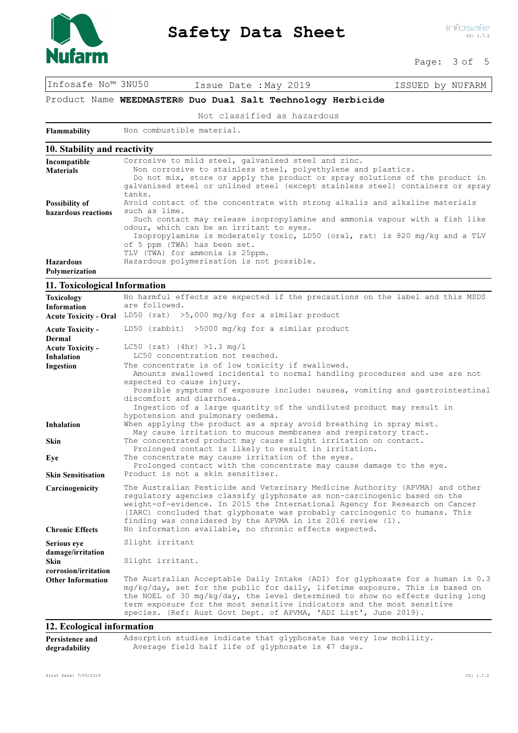

Page: 3 of 5

Infosafe No™ 3NU50 Issue Date :May 2019 ISSUED by NUFARM

Product Name WEEDMASTER® Duo Dual Salt Technology Herbicide

Not classified as hazardous

Flammability Non combustible material.

|  | 10. Stability and reactivity |  |  |  |
|--|------------------------------|--|--|--|
|--|------------------------------|--|--|--|

| Incompatible          | Corrosive to mild steel, galvanised steel and zinc.                            |
|-----------------------|--------------------------------------------------------------------------------|
| <b>Materials</b>      | Non corrosive to stainless steel, polyethylene and plastics.                   |
|                       | Do not mix, store or apply the product or spray solutions of the product in    |
|                       | galvanised steel or unlined steel (except stainless steel) containers or spray |
|                       | tanks.                                                                         |
| <b>Possibility of</b> | Avoid contact of the concentrate with strong alkalis and alkaline materials    |
| hazardous reactions   | such as lime.                                                                  |
|                       | Such contact may release isopropylamine and ammonia vapour with a fish like    |
|                       | odour, which can be an irritant to eyes.                                       |
|                       | Isopropylamine is moderately toxic, LD50 (oral, rat) is 820 mg/kg and a TLV    |
|                       | of 5 ppm (TWA) has been set.                                                   |
|                       | TLV (TWA) for ammonia is 25ppm.                                                |
| <b>Hazardous</b>      | Hazardous polymerisation is not possible.                                      |
| Polymerization        |                                                                                |

### 11. Toxicological Information

| No harmful effects are expected if the precautions on the label and this MSDS<br>are followed.                                                                                                                                                                                                                                                                                                                                                    |
|---------------------------------------------------------------------------------------------------------------------------------------------------------------------------------------------------------------------------------------------------------------------------------------------------------------------------------------------------------------------------------------------------------------------------------------------------|
| LD50 (rat) $>5,000$ mg/kg for a similar product                                                                                                                                                                                                                                                                                                                                                                                                   |
| LD50 (rabbit) >5000 mg/kg for a similar product                                                                                                                                                                                                                                                                                                                                                                                                   |
|                                                                                                                                                                                                                                                                                                                                                                                                                                                   |
| $LC50$ (rat) (4hr) >1.3 mg/l<br>LC50 concentration not reached.                                                                                                                                                                                                                                                                                                                                                                                   |
| The concentrate is of low toxicity if swallowed.<br>Amounts swallowed incidental to normal handling procedures and use are not<br>expected to cause injury.<br>Possible symptoms of exposure include: nausea, vomiting and gastrointestinal<br>discomfort and diarrhoea.                                                                                                                                                                          |
| Ingestion of a large quantity of the undiluted product may result in                                                                                                                                                                                                                                                                                                                                                                              |
| hypotension and pulmonary oedema.<br>When applying the product as a spray avoid breathing in spray mist.<br>May cause irritation to mucous membranes and respiratory tract.                                                                                                                                                                                                                                                                       |
| The concentrated product may cause slight irritation on contact.<br>Prolonged contact is likely to result in irritation.                                                                                                                                                                                                                                                                                                                          |
| The concentrate may cause irritation of the eyes.<br>Prolonged contact with the concentrate may cause damage to the eye.                                                                                                                                                                                                                                                                                                                          |
| Product is not a skin sensitiser.                                                                                                                                                                                                                                                                                                                                                                                                                 |
| The Australian Pesticide and Veterinary Medicine Authority (APVMA) and other<br>regulatory agencies classify glyphosate as non-carcinogenic based on the<br>weight-of-evidence. In 2015 the International Agency for Research on Cancer<br>(IARC) concluded that glyphosate was probably carcinogenic to humans. This<br>finding was considered by the APVMA in its 2016 review $(1)$ .<br>No information available, no chronic effects expected. |
| Slight irritant                                                                                                                                                                                                                                                                                                                                                                                                                                   |
|                                                                                                                                                                                                                                                                                                                                                                                                                                                   |
| Slight irritant.                                                                                                                                                                                                                                                                                                                                                                                                                                  |
|                                                                                                                                                                                                                                                                                                                                                                                                                                                   |
| The Australian Acceptable Daily Intake (ADI) for glyphosate for a human is 0.3<br>mg/kg/day, set for the public for daily, lifetime exposure. This is based on<br>the NOEL of 30 mg/kg/day, the level determined to show no effects during long<br>term exposure for the most sensitive indicators and the most sensitive<br>species. (Ref: Aust Govt Dept. of APVMA, 'ADI List', June 2019).                                                     |
|                                                                                                                                                                                                                                                                                                                                                                                                                                                   |

#### 12. Ecological information

| Persistence and | Adsorption studies indicate that glyphosate has very low mobility. |
|-----------------|--------------------------------------------------------------------|
| degradability   | Average field half life of glyphosate is 47 days.                  |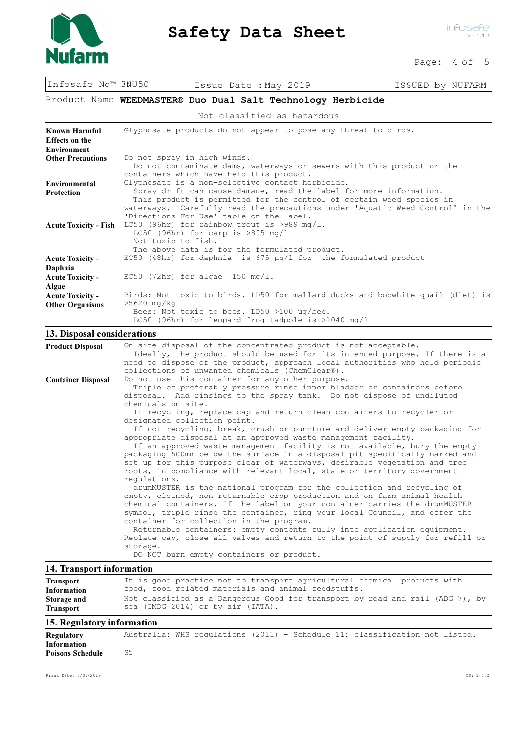

Page: 4 of 5

Infosafe No™ 3NU50 Issue Date :May 2019 ISSUED by NUFARM

### Product Name WEEDMASTER® Duo Dual Salt Technology Herbicide

Not classified as hazardous

| Known Harmful<br><b>Effects</b> on the<br><b>Environment</b> | Glyphosate products do not appear to pose any threat to birds.                                                                                                                                                                                                                                                                                                                                                                                                                                                 |
|--------------------------------------------------------------|----------------------------------------------------------------------------------------------------------------------------------------------------------------------------------------------------------------------------------------------------------------------------------------------------------------------------------------------------------------------------------------------------------------------------------------------------------------------------------------------------------------|
| <b>Other Precautions</b>                                     | Do not spray in high winds.<br>Do not contaminate dams, waterways or sewers with this product or the<br>containers which have held this product.                                                                                                                                                                                                                                                                                                                                                               |
| <b>Environmental</b><br><b>Protection</b>                    | Glyphosate is a non-selective contact herbicide.<br>Spray drift can cause damage, read the label for more information.<br>This product is permitted for the control of certain weed species in<br>waterways. Carefully read the precautions under 'Aquatic Weed Control' in the<br>'Directions For Use' table on the label.                                                                                                                                                                                    |
| <b>Acute Toxicity - Fish</b>                                 | LC50 (96hr) for rainbow trout is >989 mg/l.<br>LC50 (96hr) for carp is $>895$ mg/l<br>Not toxic to fish.<br>The above data is for the formulated product.                                                                                                                                                                                                                                                                                                                                                      |
| <b>Acute Toxicity -</b><br>Daphnia                           | EC50 (48hr) for daphnia is $675 \mu q/l$ for the formulated product                                                                                                                                                                                                                                                                                                                                                                                                                                            |
| <b>Acute Toxicity -</b><br>Algae                             | $EC50$ (72hr) for algae 150 mg/l.                                                                                                                                                                                                                                                                                                                                                                                                                                                                              |
| <b>Acute Toxicity -</b><br><b>Other Organisms</b>            | Birds: Not toxic to birds. LD50 for mallard ducks and bobwhite quail (diet) is<br>$>5620$ mg/kg<br>Bees: Not toxic to bees. LD50 >100 µq/bee.<br>LC50 (96hr) for leopard frog tadpole is $>1040 \text{ mg/l}$                                                                                                                                                                                                                                                                                                  |
| 13. Disposal considerations                                  |                                                                                                                                                                                                                                                                                                                                                                                                                                                                                                                |
| <b>Product Disposal</b><br><b>Container Disposal</b>         | On site disposal of the concentrated product is not acceptable.<br>Ideally, the product should be used for its intended purpose. If there is a<br>need to dispose of the product, approach local authorities who hold periodic<br>collections of unwanted chemicals (ChemClear®).<br>Do not use this container for any other purpose.<br>Triple or preferably pressure rinse inner bladder or containers before<br>disposal. Add rinsings to the spray tank. Do not dispose of undiluted<br>chemicals on site. |

 If recycling, replace cap and return clean containers to recycler or designated collection point.

 If not recycling, break, crush or puncture and deliver empty packaging for appropriate disposal at an approved waste management facility. If an approved waste management facility is not available, bury the empty packaging 500mm below the surface in a disposal pit specifically marked and set up for this purpose clear of waterways, desirable vegetation and tree roots, in compliance with relevant local, state or territory government regulations.

 drumMUSTER is the national program for the collection and recycling of empty, cleaned, non returnable crop production and on-farm animal health chemical containers. If the label on your container carries the drumMUSTER symbol, triple rinse the container, ring your local Council, and offer the container for collection in the program.

 Returnable containers: empty contents fully into application equipment. Replace cap, close all valves and return to the point of supply for refill or storage.

DO NOT burn empty containers or product.

### 14. Transport information

| <b>Transport</b> | It is good practice not to transport agricultural chemical products with      |
|------------------|-------------------------------------------------------------------------------|
| Information      | food, food related materials and animal feedstuffs.                           |
| Storage and      | Not classified as a Dangerous Good for transport by road and rail (ADG 7), by |
| <b>Transport</b> | sea (IMDG 2014) or by air (IATA).                                             |

### 15. Regulatory information

Information Poisons Schedule 55

Regulatory Australia: WHS regulations (2011) - Schedule 11: classification not listed.